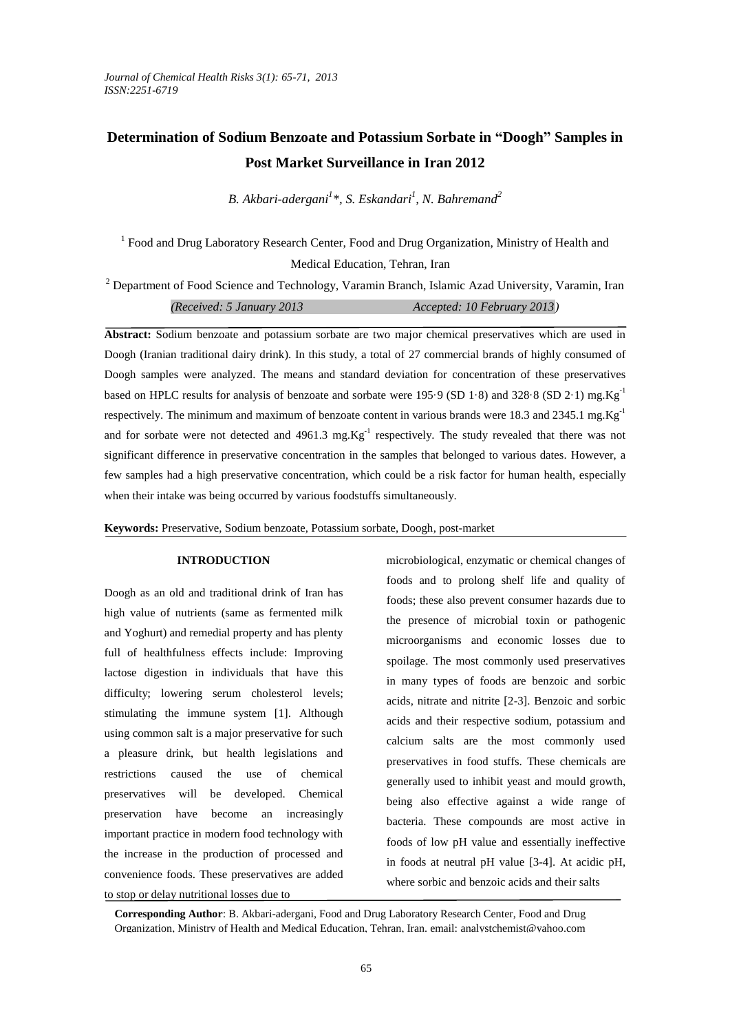# **Determination of Sodium Benzoate and Potassium Sorbate in "Doogh" Samples in Post Market Surveillance in Iran 2012**

*B. Akbari-adergani<sup>1</sup> \*, S. Eskandari<sup>1</sup> , N. Bahremand<sup>2</sup>*

<sup>1</sup> Food and Drug Laboratory Research Center, Food and Drug Organization, Ministry of Health and Medical Education, Tehran, Iran

<sup>2</sup> Department of Food Science and Technology, Varamin Branch, Islamic Azad University, Varamin, Iran *(Received: 5 January 2013 Accepted: 10 February 2013)*

**Abstract:** Sodium benzoate and potassium sorbate are two major chemical preservatives which are used in Doogh (Iranian traditional dairy drink). In this study, a total of 27 commercial brands of highly consumed of Doogh samples were analyzed. The means and standard deviation for concentration of these preservatives based on HPLC results for analysis of benzoate and sorbate were 195 $\cdot$ 9 (SD 1 $\cdot$ 8) and 328 $\cdot$ 8 (SD 2 $\cdot$ 1) mg.Kg<sup>-1</sup> respectively. The minimum and maximum of benzoate content in various brands were 18.3 and 2345.1 mg.Kg<sup>-1</sup> and for sorbate were not detected and  $4961.3$  mg. $\text{Kg}^{-1}$  respectively. The study revealed that there was not significant difference in preservative concentration in the samples that belonged to various dates. However, a few samples had a high preservative concentration, which could be a risk factor for human health, especially when their intake was being occurred by various foodstuffs simultaneously.

**Keywords:** Preservative, Sodium benzoate, Potassium sorbate, Doogh, post-market

### **INTRODUCTION**

Doogh as an old and traditional drink of Iran has high value of nutrients (same as fermented milk and Yoghurt) and remedial property and has plenty full of healthfulness effects include: Improving lactose digestion in individuals that have this difficulty; lowering serum cholesterol levels; stimulating the immune system [1]. Although using common salt is a major preservative for such a pleasure drink, but health legislations and restrictions caused the use of chemical preservatives will be developed. Chemical preservation have become an increasingly important practice in modern food technology with the increase in the production of processed and convenience foods. These preservatives are added to stop or delay nutritional losses due to

microbiological, enzymatic or chemical changes of foods and to prolong shelf life and quality of foods; these also prevent consumer hazards due to the presence of microbial toxin or pathogenic microorganisms and economic losses due to spoilage. The most commonly used preservatives in many types of foods are benzoic and sorbic acids, nitrate and nitrite [2-3]. Benzoic and sorbic acids and their respective sodium, potassium and calcium salts are the most commonly used preservatives in food stuffs. These chemicals are generally used to inhibit yeast and mould growth, being also effective against a wide range of bacteria. These compounds are most active in foods of low pH value and essentially ineffective in foods at neutral pH value [3-4]. At acidic pH, where sorbic and benzoic acids and their salts

**Corresponding Author**: B. Akbari-adergani, Food and Drug Laboratory Research Center, Food and Drug Organization, Ministry of Health and Medical Education, Tehran, Iran. email: analystchemist@yahoo.com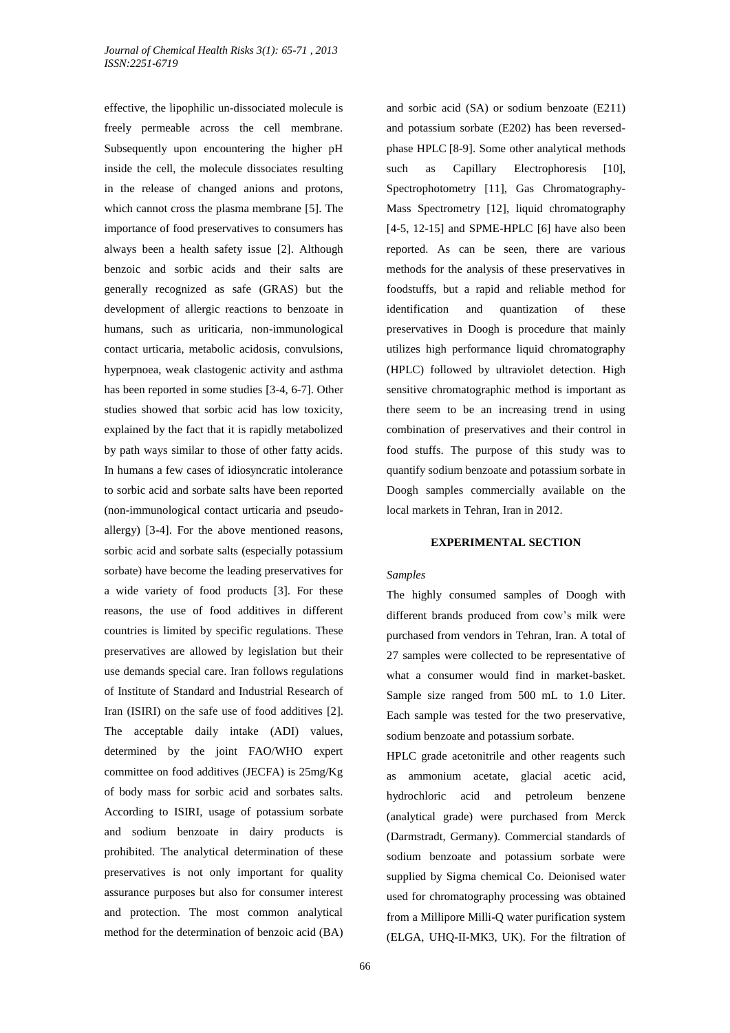effective, the lipophilic un-dissociated molecule is freely permeable across the cell membrane. Subsequently upon encountering the higher pH inside the cell, the molecule dissociates resulting in the release of changed anions and protons, which cannot cross the plasma membrane [5]. The importance of food preservatives to consumers has always been a health safety issue [2]. Although benzoic and sorbic acids and their salts are generally recognized as safe (GRAS) but the development of allergic reactions to benzoate in humans, such as uriticaria, non-immunological contact urticaria, metabolic acidosis, convulsions, hyperpnoea, weak clastogenic activity and asthma has been reported in some studies [3-4, 6-7]. Other studies showed that sorbic acid has low toxicity, explained by the fact that it is rapidly metabolized by path ways similar to those of other fatty acids. In humans a few cases of idiosyncratic intolerance to sorbic acid and sorbate salts have been reported (non-immunological contact urticaria and pseudoallergy) [3-4]. For the above mentioned reasons, sorbic acid and sorbate salts (especially potassium sorbate) have become the leading preservatives for a wide variety of food products [3]. For these reasons, the use of food additives in different countries is limited by specific regulations. These preservatives are allowed by legislation but their use demands special care. Iran follows regulations of Institute of Standard and Industrial Research of Iran (ISIRI) on the safe use of food additives [2]. The acceptable daily intake (ADI) values, determined by the joint FAO/WHO expert committee on food additives (JECFA) is 25mg/Kg of body mass for sorbic acid and sorbates salts. According to ISIRI, usage of potassium sorbate and sodium benzoate in dairy products is prohibited. The analytical determination of these preservatives is not only important for quality assurance purposes but also for consumer interest and protection. The most common analytical method for the determination of benzoic acid (BA)

and sorbic acid (SA) or sodium benzoate (E211) and potassium sorbate (E202) has been reversedphase HPLC [8-9]. Some other analytical methods such as Capillary Electrophoresis [10], Spectrophotometry [11], Gas Chromatography-Mass Spectrometry [12], liquid chromatography [4-5, 12-15] and SPME-HPLC [6] have also been reported. As can be seen, there are various methods for the analysis of these preservatives in foodstuffs, but a rapid and reliable method for identification and quantization of these preservatives in Doogh is procedure that mainly utilizes high performance liquid chromatography (HPLC) followed by ultraviolet detection. High sensitive chromatographic method is important as there seem to be an increasing trend in using combination of preservatives and their control in food stuffs. The purpose of this study was to quantify sodium benzoate and potassium sorbate in Doogh samples commercially available on the local markets in Tehran, Iran in 2012.

#### **EXPERIMENTAL SECTION**

#### *Samples*

The highly consumed samples of Doogh with different brands produced from cow's milk were purchased from vendors in Tehran, Iran. A total of 27 samples were collected to be representative of what a consumer would find in market-basket. Sample size ranged from 500 mL to 1.0 Liter. Each sample was tested for the two preservative, sodium benzoate and potassium sorbate.

HPLC grade acetonitrile and other reagents such as ammonium acetate, glacial acetic acid, hydrochloric acid and petroleum benzene (analytical grade) were purchased from Merck (Darmstradt, Germany). Commercial standards of sodium benzoate and potassium sorbate were supplied by Sigma chemical Co. Deionised water used for chromatography processing was obtained from a Millipore Milli-Q water purification system (ELGA, UHQ-II-MK3, UK). For the filtration of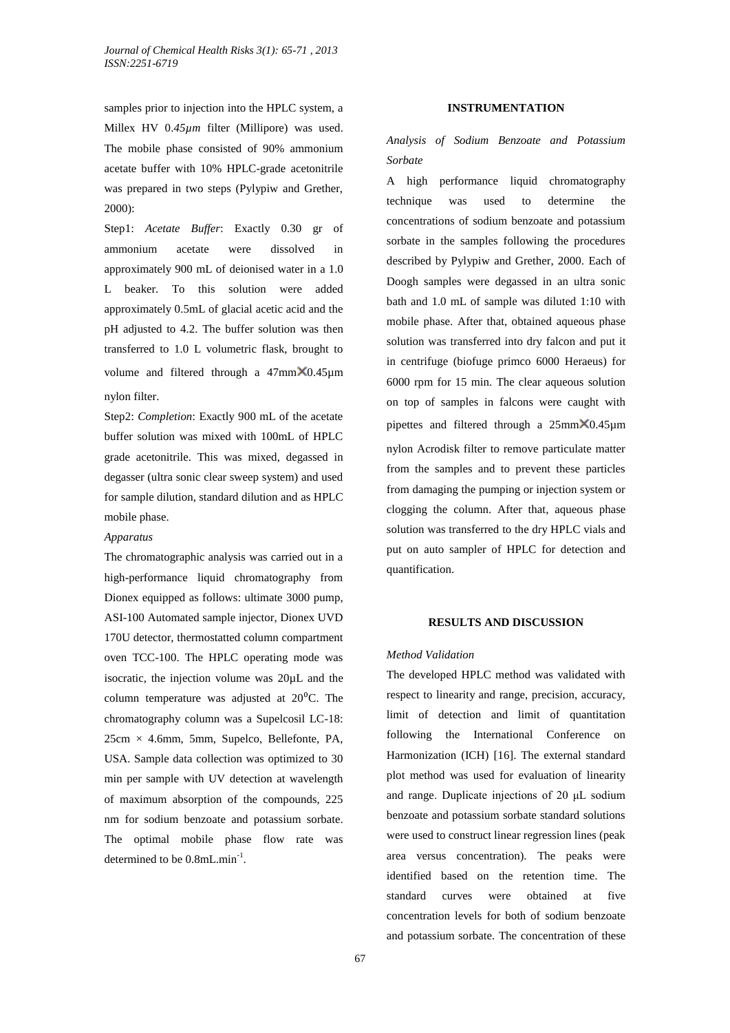samples prior to injection into the HPLC system, a Millex HV  $0.45 \mu m$  filter (Millipore) was used. The mobile phase consisted of 90% ammonium acetate buffer with 10% HPLC-grade acetonitrile was prepared in two steps (Pylypiw and Grether, 2000):

Step1: *Acetate Buffer*: Exactly 0.30 gr of ammonium acetate were dissolved in approximately 900 mL of deionised water in a 1.0 L beaker. To this solution were added approximately 0.5mL of glacial acetic acid and the pH adjusted to 4.2. The buffer solution was then transferred to 1.0 L volumetric flask, brought to volume and filtered through a  $47$ mm $\times$ 0.45 $\mu$ m nylon filter.

Step2: *Completion*: Exactly 900 mL of the acetate buffer solution was mixed with 100mL of HPLC grade acetonitrile. This was mixed, degassed in degasser (ultra sonic clear sweep system) and used for sample dilution, standard dilution and as HPLC mobile phase.

#### *Apparatus*

The chromatographic analysis was carried out in a high-performance liquid chromatography from Dionex equipped as follows: ultimate 3000 pump, ASI-100 Automated sample injector, Dionex UVD 170U detector, thermostatted column compartment oven TCC-100. The HPLC operating mode was isocratic, the injection volume was 20µL and the column temperature was adjusted at  $20^{\circ}$ C. The chromatography column was a Supelcosil LC-18:  $25cm \times 4.6mm$ , 5mm, Supelco, Bellefonte, PA, USA. Sample data collection was optimized to 30 min per sample with UV detection at wavelength of maximum absorption of the compounds, 225 nm for sodium benzoate and potassium sorbate. The optimal mobile phase flow rate was determined to be 0.8mL.min<sup>-1</sup>.

## **INSTRUMENTATION**

*Analysis of Sodium Benzoate and Potassium Sorbate*

A high performance liquid chromatography technique was used to determine the concentrations of sodium benzoate and potassium sorbate in the samples following the procedures described by Pylypiw and Grether, 2000. Each of Doogh samples were degassed in an ultra sonic bath and 1.0 mL of sample was diluted 1:10 with mobile phase. After that, obtained aqueous phase solution was transferred into dry falcon and put it in centrifuge (biofuge primco 6000 Heraeus) for 6000 rpm for 15 min. The clear aqueous solution on top of samples in falcons were caught with pipettes and filtered through a  $25$ mm $\times$ 0.45 $\mu$ m nylon Acrodisk filter to remove particulate matter from the samples and to prevent these particles from damaging the pumping or injection system or clogging the column. After that, aqueous phase solution was transferred to the dry HPLC vials and put on auto sampler of HPLC for detection and quantification.

### **RESULTS AND DISCUSSION**

#### *Method Validation*

The developed HPLC method was validated with respect to linearity and range, precision, accuracy, limit of detection and limit of quantitation following the International Conference on Harmonization (ICH) [16]. The external standard plot method was used for evaluation of linearity and range. Duplicate injections of 20 μL sodium benzoate and potassium sorbate standard solutions were used to construct linear regression lines (peak area versus concentration). The peaks were identified based on the retention time. The standard curves were obtained at five concentration levels for both of sodium benzoate and potassium sorbate. The concentration of these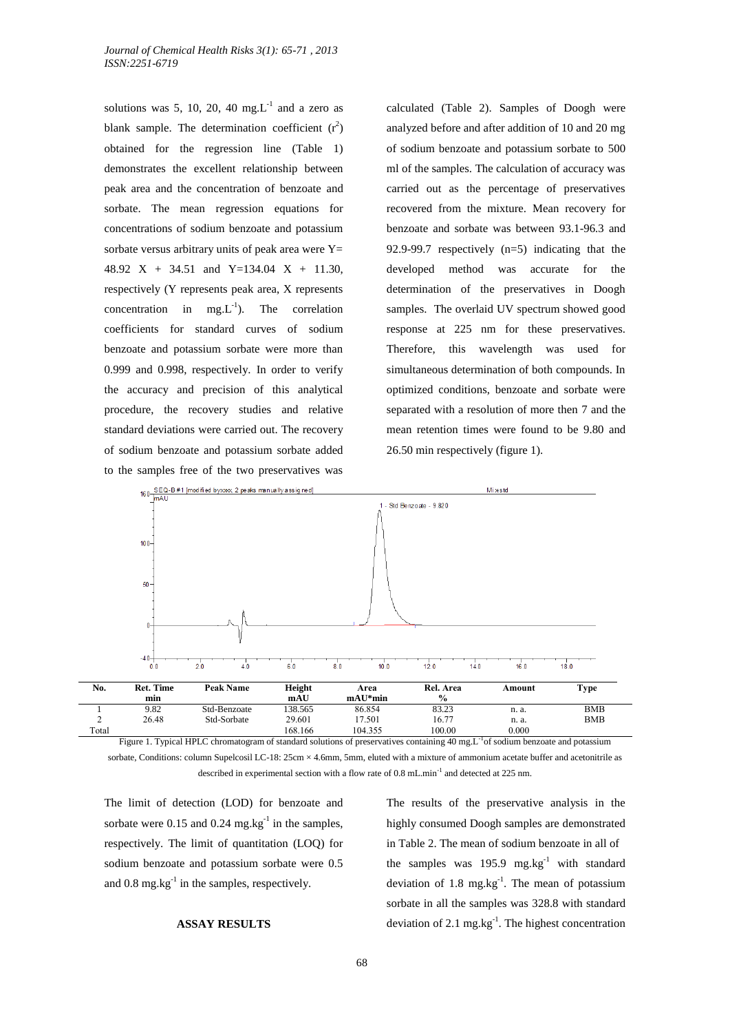solutions was 5, 10, 20, 40  $mg.L^{-1}$  and a zero as blank sample. The determination coefficient  $(r^2)$ obtained for the regression line (Table 1) demonstrates the excellent relationship between peak area and the concentration of benzoate and sorbate. The mean regression equations for concentrations of sodium benzoate and potassium sorbate versus arbitrary units of peak area were  $Y=$ 48.92 X + 34.51 and Y=134.04 X + 11.30, respectively (Y represents peak area, X represents concentration in mg. $L^{-1}$ ). The correlation coefficients for standard curves of sodium benzoate and potassium sorbate were more than 0.999 and 0.998, respectively. In order to verify the accuracy and precision of this analytical procedure, the recovery studies and relative standard deviations were carried out. The recovery of sodium benzoate and potassium sorbate added to the samples free of the two preservatives was

calculated (Table 2). Samples of Doogh were analyzed before and after addition of 10 and 20 mg of sodium benzoate and potassium sorbate to 500 ml of the samples. The calculation of accuracy was carried out as the percentage of preservatives recovered from the mixture. Mean recovery for benzoate and sorbate was between 93.1-96.3 and 92.9-99.7 respectively (n=5) indicating that the developed method was accurate for the determination of the preservatives in Doogh samples. The overlaid UV spectrum showed good response at 225 nm for these preservatives. Therefore, this wavelength was used for simultaneous determination of both compounds. In optimized conditions, benzoate and sorbate were separated with a resolution of more then 7 and the mean retention times were found to be 9.80 and 26.50 min respectively (figure 1).



Figure 1. Typical HPLC chromatogram of standard solutions of preservatives containing 40 mg.L<sup>-1</sup>of sodium benzoate and potassium sorbate, Conditions: column Supelcosil LC-18:  $25cm \times 4.6mm$ , 5mm, eluted with a mixture of ammonium acetate buffer and acetonitrile as described in experimental section with a flow rate of 0.8 mL.min<sup>-1</sup> and detected at 225 nm.

The limit of detection (LOD) for benzoate and sorbate were  $0.15$  and  $0.24$  mg.kg<sup>-1</sup> in the samples, respectively. The limit of quantitation (LOQ) for sodium benzoate and potassium sorbate were 0.5 and  $0.8 \text{ mg} \cdot \text{kg}^{-1}$  in the samples, respectively.

# **ASSAY RESULTS**

The results of the preservative analysis in the highly consumed Doogh samples are demonstrated in Table 2. The mean of sodium benzoate in all of the samples was 195.9 mg.kg $^{-1}$  with standard deviation of  $1.8 \text{ mg} \cdot \text{kg}^{-1}$ . The mean of potassium sorbate in all the samples was 328.8 with standard deviation of 2.1 mg.kg $^{-1}$ . The highest concentration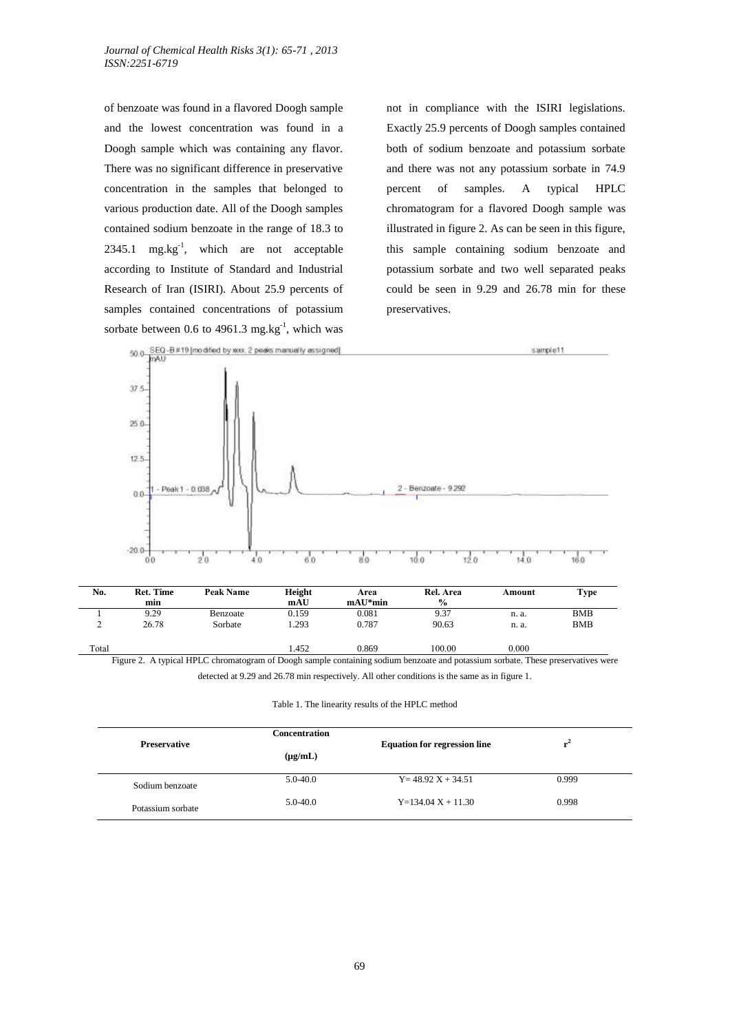of benzoate was found in a flavored Doogh sample and the lowest concentration was found in a Doogh sample which was containing any flavor. There was no significant difference in preservative concentration in the samples that belonged to various production date. All of the Doogh samples contained sodium benzoate in the range of 18.3 to  $2345.1$  mg.kg<sup>-1</sup>, which are not acceptable according to Institute of Standard and Industrial Research of Iran (ISIRI). About 25.9 percents of samples contained concentrations of potassium sorbate between 0.6 to 4961.3 mg.kg<sup>-1</sup>, which was not in compliance with the ISIRI legislations. Exactly 25.9 percents of Doogh samples contained both of sodium benzoate and potassium sorbate and there was not any potassium sorbate in 74.9 percent of samples. A typical HPLC chromatogram for a flavored Doogh sample was illustrated in figure 2. As can be seen in this figure, this sample containing sodium benzoate and potassium sorbate and two well separated peaks could be seen in 9.29 and 26.78 min for these preservatives.



| No.   | <b>Ret. Time</b> | Peak Name | Height | Area      | Rel. Area     | Amount | Type       |
|-------|------------------|-----------|--------|-----------|---------------|--------|------------|
|       | min              |           | mAU    | $mAU*min$ | $\frac{0}{0}$ |        |            |
|       | 9.29             | Benzoate  | 0.159  | 0.081     | 9.37          | n. a.  | <b>BMB</b> |
| ∼     | 26.78            | Sorbate   | .293   | 0.787     | 90.63         | n. a.  | <b>BMB</b> |
| Total |                  |           | 1.452  | 0.869     | 100.00        | 0.000  |            |

Figure 2. A typical HPLC chromatogram of Doogh sample containing sodium benzoate and potassium sorbate. These preservatives were detected at 9.29 and 26.78 min respectively. All other conditions is the same as in figure 1.

Table 1. The linearity results of the HPLC method

| <b>Preservative</b> | <b>Concentration</b> | <b>Equation for regression line</b> | r"    |  |
|---------------------|----------------------|-------------------------------------|-------|--|
|                     | $(\mu g/mL)$         |                                     |       |  |
| Sodium benzoate     | $5.0 - 40.0$         | $Y = 48.92 X + 34.51$               | 0.999 |  |
| Potassium sorbate   | $5.0 - 40.0$         | $Y=134.04$ X + 11.30                | 0.998 |  |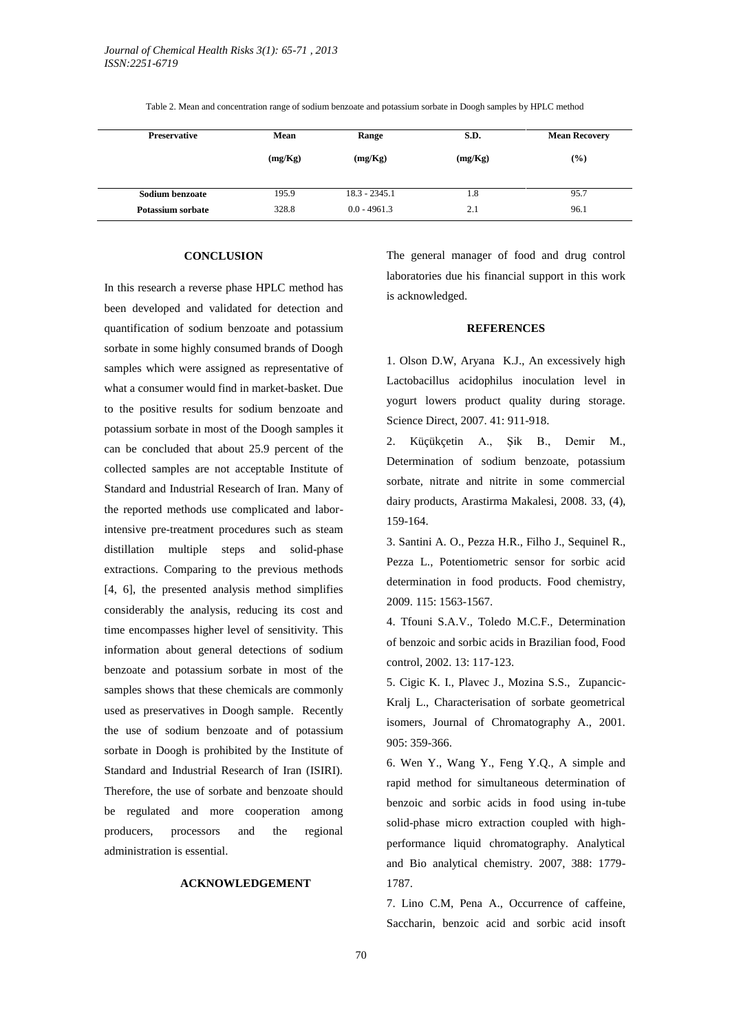| <b>Preservative</b> | Mean    | Range           | S.D.    | <b>Mean Recovery</b> |  |
|---------------------|---------|-----------------|---------|----------------------|--|
|                     | (mg/Kg) | (mg/Kg)         | (mg/Kg) | $(\%)$               |  |
| Sodium benzoate     | 195.9   | $18.3 - 2345.1$ | 1.8     | 95.7                 |  |
| Potassium sorbate   | 328.8   | $0.0 - 4961.3$  | 2.1     | 96.1                 |  |

Table 2. Mean and concentration range of sodium benzoate and potassium sorbate in Doogh samples by HPLC method

#### **CONCLUSION**

In this research a reverse phase HPLC method has been developed and validated for detection and quantification of sodium benzoate and potassium sorbate in some highly consumed brands of Doogh samples which were assigned as representative of what a consumer would find in market-basket. Due to the positive results for sodium benzoate and potassium sorbate in most of the Doogh samples it can be concluded that about 25.9 percent of the collected samples are not acceptable Institute of Standard and Industrial Research of Iran. Many of the reported methods use complicated and laborintensive pre-treatment procedures such as steam distillation multiple steps and solid-phase extractions. Comparing to the previous methods [4, 6], the presented analysis method simplifies considerably the analysis, reducing its cost and time encompasses higher level of sensitivity. This information about general detections of sodium benzoate and potassium sorbate in most of the samples shows that these chemicals are commonly used as preservatives in Doogh sample. Recently the use of sodium benzoate and of potassium sorbate in Doogh is prohibited by the Institute of Standard and Industrial Research of Iran (ISIRI). Therefore, the use of sorbate and benzoate should be regulated and more cooperation among producers, processors and the regional administration is essential.

# **ACKNOWLEDGEMENT**

The general manager of food and drug control laboratories due his financial support in this work is acknowledged.

# **REFERENCES**

1. Olson D.W, Aryana K.J., An excessively high Lactobacillus acidophilus inoculation level in yogurt lowers product quality during storage. Science Direct, 2007. 41: 911-918.

2. Küçükçetin A., Şik B., Demir M., Determination of sodium benzoate, potassium sorbate, nitrate and nitrite in some commercial dairy products, Arastirma Makalesi, 2008. 33, (4), 159-164.

3. Santini A. O., Pezza H.R., Filho J., Sequinel R., Pezza L., Potentiometric sensor for sorbic acid determination in food products. Food chemistry, 2009. 115: 1563-1567.

4. Tfouni S.A.V., Toledo M.C.F., Determination of benzoic and sorbic acids in Brazilian food, Food control, 2002. 13: 117-123.

5. Cigic K. I., Plavec J., Mozina S.S., Zupancic-Kralj L., Characterisation of sorbate geometrical isomers, Journal of Chromatography A., 2001. 905: 359-366.

6. Wen Y., Wang Y., Feng Y.Q., A simple and rapid method for simultaneous determination of benzoic and sorbic acids in food using in-tube solid-phase micro extraction coupled with highperformance liquid chromatography. Analytical and Bio analytical chemistry. 2007, 388: 1779- 1787.

7. Lino C.M, Pena A., Occurrence of caffeine, Saccharin, benzoic acid and sorbic acid insoft